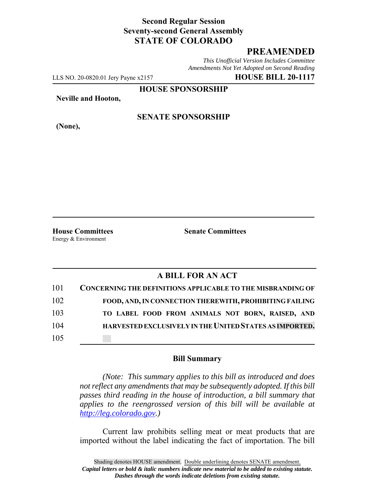## **Second Regular Session Seventy-second General Assembly STATE OF COLORADO**

# **PREAMENDED**

*This Unofficial Version Includes Committee Amendments Not Yet Adopted on Second Reading*

LLS NO. 20-0820.01 Jery Payne x2157 **HOUSE BILL 20-1117**

**HOUSE SPONSORSHIP**

**Neville and Hooton,**

**(None),**

### **SENATE SPONSORSHIP**

**House Committees Senate Committees** Energy & Environment

### **A BILL FOR AN ACT**

| 101 | <b>CONCERNING THE DEFINITIONS APPLICABLE TO THE MISBRANDING OF</b> |
|-----|--------------------------------------------------------------------|
| 102 | FOOD, AND, IN CONNECTION THEREWITH, PROHIBITING FAILING            |
| 103 | TO LABEL FOOD FROM ANIMALS NOT BORN, RAISED, AND                   |
| 104 | HARVESTED EXCLUSIVELY IN THE UNITED STATES AS IMPORTED.            |
| 105 |                                                                    |

#### **Bill Summary**

*(Note: This summary applies to this bill as introduced and does not reflect any amendments that may be subsequently adopted. If this bill passes third reading in the house of introduction, a bill summary that applies to the reengrossed version of this bill will be available at http://leg.colorado.gov.)*

Current law prohibits selling meat or meat products that are imported without the label indicating the fact of importation. The bill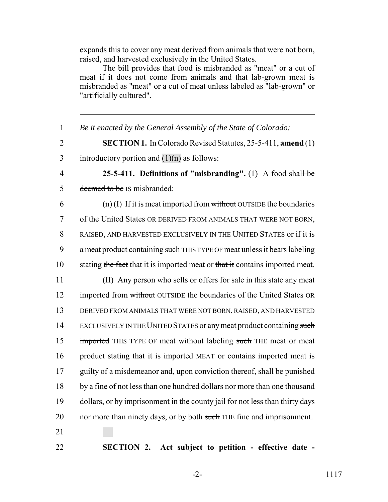expands this to cover any meat derived from animals that were not born, raised, and harvested exclusively in the United States.

The bill provides that food is misbranded as "meat" or a cut of meat if it does not come from animals and that lab-grown meat is misbranded as "meat" or a cut of meat unless labeled as "lab-grown" or "artificially cultured".

1 *Be it enacted by the General Assembly of the State of Colorado:* 2 **SECTION 1.** In Colorado Revised Statutes, 25-5-411, **amend** (1) 3 introductory portion and  $(1)(n)$  as follows: 4 **25-5-411. Definitions of "misbranding".** (1) A food shall be 5 deemed to be IS misbranded:  $(1)$  (I) If it is meat imported from without OUTSIDE the boundaries 7 of the United States OR DERIVED FROM ANIMALS THAT WERE NOT BORN, 8 RAISED, AND HARVESTED EXCLUSIVELY IN THE UNITED STATES or if it is 9 a meat product containing such THIS TYPE OF meat unless it bears labeling 10 stating the fact that it is imported meat or that it contains imported meat. 11 (II) Any person who sells or offers for sale in this state any meat 12 imported from without OUTSIDE the boundaries of the United States OR 13 DERIVED FROM ANIMALS THAT WERE NOT BORN, RAISED, AND HARVESTED 14 EXCLUSIVELY IN THE UNITED STATES or any meat product containing such 15 imported THIS TYPE OF meat without labeling such THE meat or meat 16 product stating that it is imported MEAT or contains imported meat is 17 guilty of a misdemeanor and, upon conviction thereof, shall be punished 18 by a fine of not less than one hundred dollars nor more than one thousand 19 dollars, or by imprisonment in the county jail for not less than thirty days 20 nor more than ninety days, or by both such THE fine and imprisonment. 21

22 **SECTION 2. Act subject to petition - effective date -**